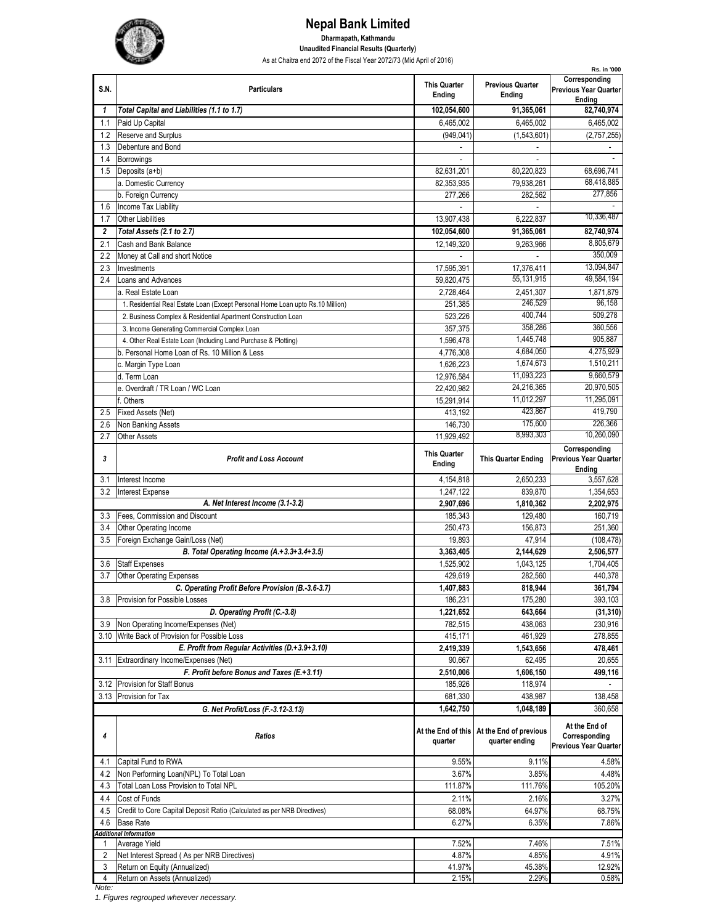

## **Nepal Bank Limited Dharmapath, Kathmandu Unaudited Financial Results (Quarterly)**

As at Chaitra end 2072 of the Fiscal Year 2072/73 (Mid April of 2016)

|                         |                                                                                |                               |                                   | Rs. in '000                                              |
|-------------------------|--------------------------------------------------------------------------------|-------------------------------|-----------------------------------|----------------------------------------------------------|
| S.N.                    | <b>Particulars</b>                                                             | <b>This Quarter</b><br>Ending | <b>Previous Quarter</b><br>Ending | Corresponding<br><b>Previous Year Quarter</b><br>Endina  |
| $\mathbf{1}$            | Total Capital and Liabilities (1.1 to 1.7)                                     | 102,054,600                   | 91,365,061                        | 82,740,974                                               |
| 1.1                     | Paid Up Capital                                                                | 6,465,002                     | 6,465,002                         | 6,465,002                                                |
| 1.2                     | Reserve and Surplus                                                            | (949, 041)                    | (1,543,601)                       | (2,757,255)                                              |
| 1.3                     | Debenture and Bond                                                             |                               |                                   |                                                          |
| 1.4                     | <b>Borrowings</b>                                                              |                               | $\sim$                            |                                                          |
| 1.5                     | Deposits (a+b)                                                                 | 82,631,201                    | 80,220,823                        | 68,696,741                                               |
|                         | a. Domestic Currency                                                           | 82,353,935                    | 79,938,261                        | 68,418,885                                               |
|                         | b. Foreign Currency                                                            | 277,266                       | 282,562                           | 277,856                                                  |
| 1.6                     | Income Tax Liability                                                           |                               |                                   |                                                          |
| 1.7                     | <b>Other Liabilities</b>                                                       | 13.907.438                    | 6,222,837                         | 10,336,487                                               |
| $\overline{\mathbf{c}}$ | Total Assets (2.1 to 2.7)                                                      | 102,054,600                   | 91,365,061                        | 82,740,974                                               |
| 2.1                     | Cash and Bank Balance                                                          | 12,149,320                    | 9,263,966                         | 8,805,679                                                |
| 2.2                     | Money at Call and short Notice                                                 |                               |                                   | 350,009                                                  |
| 2.3                     | Investments                                                                    | 17,595,391                    | 17,376,411                        | 13,094,847                                               |
| 2.4                     | Loans and Advances                                                             | 59,820,475                    | 55,131,915                        | 49,584,194                                               |
|                         | a. Real Estate Loan                                                            | 2,728,464                     | 2,451,307                         | 1,871,879                                                |
|                         | 1. Residential Real Estate Loan (Except Personal Home Loan upto Rs.10 Million) | 251.385                       | 246,529                           | 96,158                                                   |
|                         | 2. Business Complex & Residential Apartment Construction Loan                  | 523.226                       | 400,744                           | 509,278                                                  |
|                         | 3. Income Generating Commercial Complex Loan                                   |                               | 358,286                           | 360,556                                                  |
|                         | 4. Other Real Estate Loan (Including Land Purchase & Plotting)                 | 357,375                       | 1,445,748                         | 905,887                                                  |
|                         |                                                                                | 1,596,478                     | 4,684,050                         | 4,275,929                                                |
|                         | b. Personal Home Loan of Rs. 10 Million & Less                                 | 4,776,308                     |                                   | 1,510,211                                                |
|                         | c. Margin Type Loan                                                            | 1,626,223                     | 1,674,673                         |                                                          |
|                         | d. Term Loan                                                                   | 12,976,584                    | 11,093,223                        | 9,660,579                                                |
|                         | e. Overdraft / TR Loan / WC Loan                                               | 22,420,982                    | 24,216,365                        | 20,970,505                                               |
|                         | f. Others                                                                      | 15.291.914                    | 11,012,297                        | 11,295,091                                               |
| 2.5                     | Fixed Assets (Net)                                                             | 413,192                       | 423,867                           | 419,790                                                  |
| 2.6                     | Non Banking Assets                                                             | 146,730                       | 175,600                           | 226,366                                                  |
| 2.7                     | <b>Other Assets</b>                                                            | 11,929,492                    | 8,993,303                         | 10,260,090                                               |
|                         |                                                                                | <b>This Quarter</b>           |                                   | Corresponding                                            |
| 3                       | <b>Profit and Loss Account</b>                                                 | Ending                        | <b>This Quarter Ending</b>        | <b>Previous Year Quarter</b>                             |
| 3.1                     | Interest Income                                                                | 4,154,818                     | 2,650,233                         | Ending<br>3,557,628                                      |
| 3.2                     |                                                                                |                               | 839.870                           | 1,354,653                                                |
|                         | <b>Interest Expense</b><br>A. Net Interest Income (3.1-3.2)                    | 1,247,122                     |                                   |                                                          |
|                         |                                                                                | 2,907,696                     | 1,810,362                         | 2,202,975                                                |
| 3.3                     | Fees, Commission and Discount                                                  | 185,343                       | 129,480                           | 160,719                                                  |
| 3.4                     | Other Operating Income                                                         | 250,473                       | 156,873                           | 251,360                                                  |
| 3.5                     | Foreign Exchange Gain/Loss (Net)                                               | 19,893                        | 47,914                            | (108, 478)                                               |
|                         | B. Total Operating Income (A.+3.3+3.4+3.5)                                     | 3,363,405                     | 2,144,629                         | 2,506,577                                                |
| 3.6                     | <b>Staff Expenses</b>                                                          | 1,525,902                     | 1,043,125                         | 1,704,405                                                |
| 3.7                     | <b>Other Operating Expenses</b>                                                | 429,619                       | 282.560                           | 440,378                                                  |
|                         | C. Operating Profit Before Provision (B.-3.6-3.7)                              | 1,407,883                     | 818,944                           | 361,794                                                  |
| 3.8                     | Provision for Possible Losses                                                  | 186,231                       | 175,280                           | 393,103                                                  |
|                         | D. Operating Profit (C.-3.8)                                                   |                               |                                   |                                                          |
| 3.9                     |                                                                                | 1,221,652                     | 643,664                           | (31, 310)                                                |
| 3.10                    | Non Operating Income/Expenses (Net)                                            | 782,515                       | 438,063                           | 230,916                                                  |
|                         | Write Back of Provision for Possible Loss                                      | 415,171                       | 461,929                           | 278,855                                                  |
|                         | E. Profit from Regular Activities (D.+3.9+3.10)                                | 2,419,339                     | 1,543,656                         | 478,461                                                  |
| 3.11                    | Extraordinary Income/Expenses (Net)                                            | 90,667                        | 62,495                            | 20,655                                                   |
|                         | F. Profit before Bonus and Taxes (E.+3.11)                                     | 2,510,006                     | 1,606,150                         | 499,116                                                  |
|                         | 3.12 Provision for Staff Bonus                                                 | 185,926                       | 118,974                           |                                                          |
| 3.13                    | Provision for Tax                                                              | 681,330                       | 438,987                           | 138,458                                                  |
|                         | G. Net Profit/Loss (F.-3.12-3.13)                                              | 1,642,750                     | 1,048,189                         | 360,658                                                  |
|                         |                                                                                |                               |                                   |                                                          |
|                         |                                                                                | At the End of this            | At the End of previous            | At the End of                                            |
| 4                       | Ratios                                                                         | quarter                       | quarter ending                    | Corresponding                                            |
|                         |                                                                                |                               |                                   |                                                          |
| 4.1                     | Capital Fund to RWA                                                            | 9.55%                         | 9.11%                             | 4.58%                                                    |
| 4.2                     | Non Performing Loan(NPL) To Total Loan                                         | 3.67%                         | 3.85%                             | 4.48%                                                    |
| 4.3                     | Total Loan Loss Provision to Total NPL                                         | 111.87%                       | 111.76%                           | 105.20%                                                  |
| 4.4                     | Cost of Funds                                                                  | 2.11%                         | 2.16%                             | 3.27%                                                    |
| 4.5                     | Credit to Core Capital Deposit Ratio (Calculated as per NRB Directives)        | 68.08%                        | 64.97%                            | 68.75%                                                   |
| 4.6                     | <b>Base Rate</b>                                                               | 6.27%                         | 6.35%                             | 7.86%                                                    |
|                         | <b>Additional Information</b>                                                  |                               |                                   |                                                          |
|                         | Average Yield                                                                  | 7.52%                         | 7.46%                             |                                                          |
| 2                       | Net Interest Spread (As per NRB Directives)                                    | 4.87%                         | 4.85%                             | 4.91%                                                    |
| 3<br>4                  | Return on Equity (Annualized)<br>Return on Assets (Annualized)                 | 41.97%<br>2.15%               | 45.38%<br>2.29%                   | <b>Previous Year Quarter</b><br>7.51%<br>12.92%<br>0.58% |

*Note:*

*1. Figures regrouped wherever necessary.*